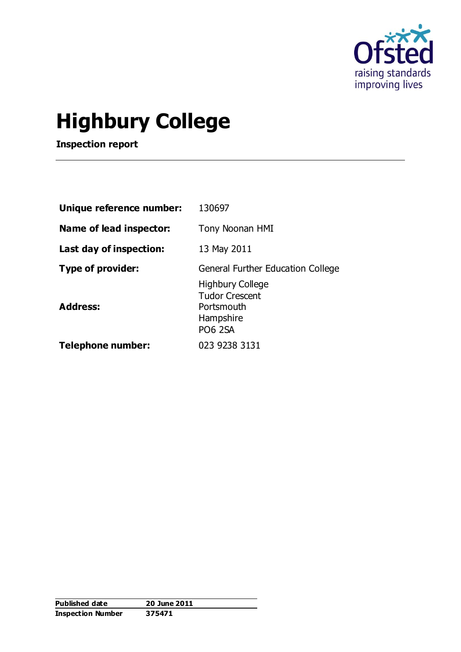

# **Highbury College**

**Inspection report**

| Unique reference number:                    | 130697                                                                                                           |
|---------------------------------------------|------------------------------------------------------------------------------------------------------------------|
| Name of lead inspector:                     | Tony Noonan HMI                                                                                                  |
| Last day of inspection:                     | 13 May 2011                                                                                                      |
| <b>Type of provider:</b><br><b>Address:</b> | General Further Education College<br><b>Highbury College</b><br><b>Tudor Crescent</b><br>Portsmouth<br>Hampshire |
| <b>Telephone number:</b>                    | <b>PO6 2SA</b><br>023 9238 3131                                                                                  |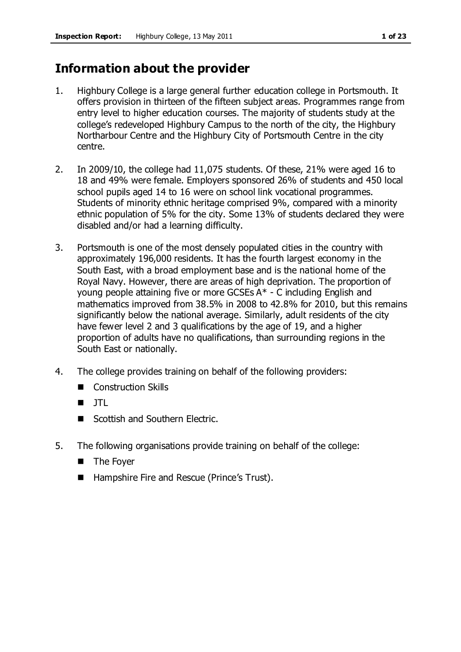# **Information about the provider**

- 1. Highbury College is a large general further education college in Portsmouth. It offers provision in thirteen of the fifteen subject areas. Programmes range from entry level to higher education courses. The majority of students study at the college's redeveloped Highbury Campus to the north of the city, the Highbury Northarbour Centre and the Highbury City of Portsmouth Centre in the city centre.
- 2. In 2009/10, the college had 11,075 students. Of these, 21% were aged 16 to 18 and 49% were female. Employers sponsored 26% of students and 450 local school pupils aged 14 to 16 were on school link vocational programmes. Students of minority ethnic heritage comprised 9%, compared with a minority ethnic population of 5% for the city. Some 13% of students declared they were disabled and/or had a learning difficulty.
- 3. Portsmouth is one of the most densely populated cities in the country with approximately 196,000 residents. It has the fourth largest economy in the South East, with a broad employment base and is the national home of the Royal Navy. However, there are areas of high deprivation. The proportion of young people attaining five or more GCSEs A\* - C including English and mathematics improved from 38.5% in 2008 to 42.8% for 2010, but this remains significantly below the national average. Similarly, adult residents of the city have fewer level 2 and 3 qualifications by the age of 19, and a higher proportion of adults have no qualifications, than surrounding regions in the South East or nationally.
- 4. The college provides training on behalf of the following providers:
	- Construction Skills
	- JTL
	- Scottish and Southern Electric.
- 5. The following organisations provide training on behalf of the college:
	- **The Foyer**
	- Hampshire Fire and Rescue (Prince's Trust).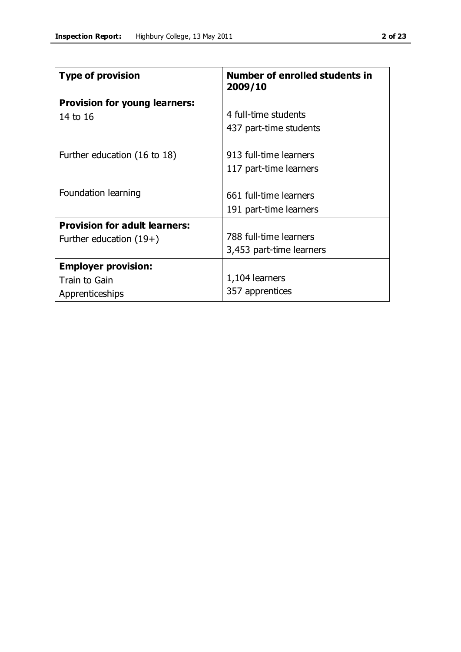| <b>Type of provision</b>                         | <b>Number of enrolled students in</b><br>2009/10 |  |  |  |
|--------------------------------------------------|--------------------------------------------------|--|--|--|
| <b>Provision for young learners:</b><br>14 to 16 | 4 full-time students<br>437 part-time students   |  |  |  |
| Further education (16 to 18)                     | 913 full-time learners<br>117 part-time learners |  |  |  |

|                                                                   | 117 part-time learners                             |
|-------------------------------------------------------------------|----------------------------------------------------|
| Foundation learning                                               | 661 full-time learners                             |
|                                                                   | 191 part-time learners                             |
| <b>Provision for adult learners:</b><br>Further education $(19+)$ | 788 full-time learners<br>3,453 part-time learners |
| <b>Employer provision:</b>                                        |                                                    |
| Train to Gain                                                     | 1,104 learners                                     |
| Apprenticeships                                                   | 357 apprentices                                    |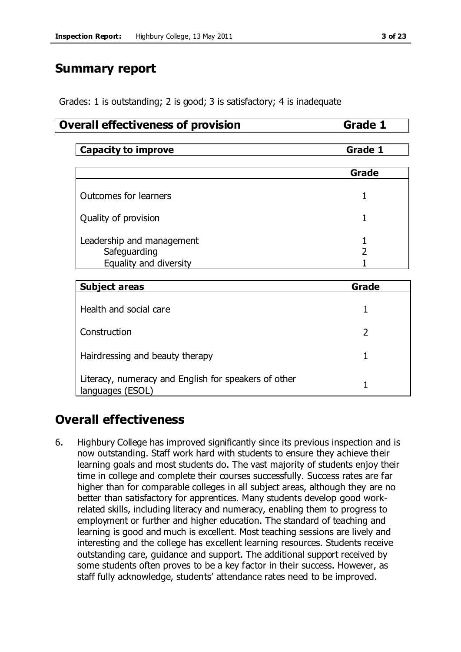# **Summary report**

Grades: 1 is outstanding; 2 is good; 3 is satisfactory; 4 is inadequate

#### **Overall effectiveness of provision Grade 1**

| Capacity to<br><i>improve</i><br><u></u> |
|------------------------------------------|
|------------------------------------------|

|                                                                     | Grade |
|---------------------------------------------------------------------|-------|
| Outcomes for learners                                               |       |
| Quality of provision                                                |       |
| Leadership and management<br>Safeguarding<br>Equality and diversity |       |

| <b>Subject areas</b>                                                     | Grade |  |  |  |
|--------------------------------------------------------------------------|-------|--|--|--|
| Health and social care                                                   |       |  |  |  |
| Construction                                                             |       |  |  |  |
| Hairdressing and beauty therapy                                          |       |  |  |  |
| Literacy, numeracy and English for speakers of other<br>languages (ESOL) |       |  |  |  |

# **Overall effectiveness**

6. Highbury College has improved significantly since its previous inspection and is now outstanding. Staff work hard with students to ensure they achieve their learning goals and most students do. The vast majority of students enjoy their time in college and complete their courses successfully. Success rates are far higher than for comparable colleges in all subject areas, although they are no better than satisfactory for apprentices. Many students develop good workrelated skills, including literacy and numeracy, enabling them to progress to employment or further and higher education. The standard of teaching and learning is good and much is excellent. Most teaching sessions are lively and interesting and the college has excellent learning resources. Students receive outstanding care, guidance and support. The additional support received by some students often proves to be a key factor in their success. However, as staff fully acknowledge, students' attendance rates need to be improved.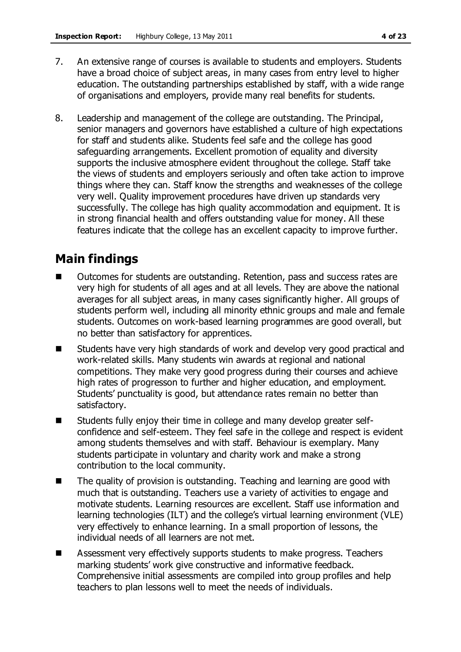- 7. An extensive range of courses is available to students and employers. Students have a broad choice of subject areas, in many cases from entry level to higher education. The outstanding partnerships established by staff, with a wide range of organisations and employers, provide many real benefits for students.
- 8. Leadership and management of the college are outstanding. The Principal, senior managers and governors have established a culture of high expectations for staff and students alike. Students feel safe and the college has good safeguarding arrangements. Excellent promotion of equality and diversity supports the inclusive atmosphere evident throughout the college. Staff take the views of students and employers seriously and often take action to improve things where they can. Staff know the strengths and weaknesses of the college very well. Quality improvement procedures have driven up standards very successfully. The college has high quality accommodation and equipment. It is in strong financial health and offers outstanding value for money. All these features indicate that the college has an excellent capacity to improve further.

# **Main findings**

- Outcomes for students are outstanding. Retention, pass and success rates are very high for students of all ages and at all levels. They are above the national averages for all subject areas, in many cases significantly higher. All groups of students perform well, including all minority ethnic groups and male and female students. Outcomes on work-based learning programmes are good overall, but no better than satisfactory for apprentices.
- Students have very high standards of work and develop very good practical and work-related skills. Many students win awards at regional and national competitions. They make very good progress during their courses and achieve high rates of progresson to further and higher education, and employment. Students' punctuality is good, but attendance rates remain no better than satisfactory.
- Students fully enjoy their time in college and many develop greater selfconfidence and self-esteem. They feel safe in the college and respect is evident among students themselves and with staff. Behaviour is exemplary. Many students participate in voluntary and charity work and make a strong contribution to the local community.
- The quality of provision is outstanding. Teaching and learning are good with much that is outstanding. Teachers use a variety of activities to engage and motivate students. Learning resources are excellent. Staff use information and learning technologies (ILT) and the college's virtual learning environment (VLE) very effectively to enhance learning. In a small proportion of lessons, the individual needs of all learners are not met.
- Assessment very effectively supports students to make progress. Teachers marking students' work give constructive and informative feedback. Comprehensive initial assessments are compiled into group profiles and help teachers to plan lessons well to meet the needs of individuals.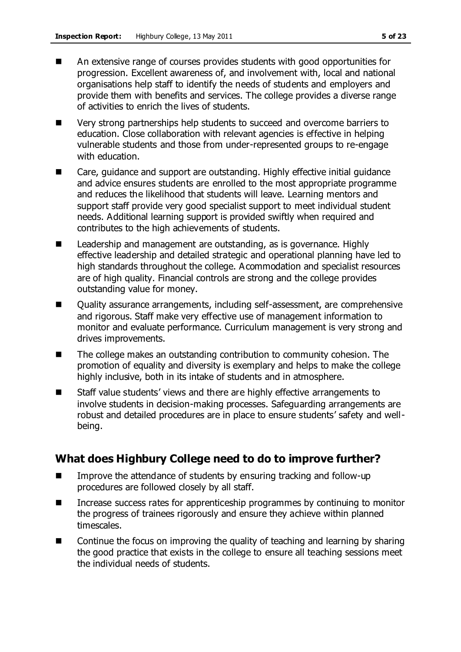- An extensive range of courses provides students with good opportunities for progression. Excellent awareness of, and involvement with, local and national organisations help staff to identify the needs of students and employers and provide them with benefits and services. The college provides a diverse range of activities to enrich the lives of students.
- Very strong partnerships help students to succeed and overcome barriers to education. Close collaboration with relevant agencies is effective in helping vulnerable students and those from under-represented groups to re-engage with education.
- Care, guidance and support are outstanding. Highly effective initial guidance and advice ensures students are enrolled to the most appropriate programme and reduces the likelihood that students will leave. Learning mentors and support staff provide very good specialist support to meet individual student needs. Additional learning support is provided swiftly when required and contributes to the high achievements of students.
- Leadership and management are outstanding, as is governance. Highly effective leadership and detailed strategic and operational planning have led to high standards throughout the college. Acommodation and specialist resources are of high quality. Financial controls are strong and the college provides outstanding value for money.
- Quality assurance arrangements, including self-assessment, are comprehensive and rigorous. Staff make very effective use of management information to monitor and evaluate performance. Curriculum management is very strong and drives improvements.
- The college makes an outstanding contribution to community cohesion. The promotion of equality and diversity is exemplary and helps to make the college highly inclusive, both in its intake of students and in atmosphere.
- Staff value students' views and there are highly effective arrangements to involve students in decision-making processes. Safeguarding arrangements are robust and detailed procedures are in place to ensure students' safety and wellbeing.

# **What does Highbury College need to do to improve further?**

- Improve the attendance of students by ensuring tracking and follow-up procedures are followed closely by all staff.
- Increase success rates for apprenticeship programmes by continuing to monitor the progress of trainees rigorously and ensure they achieve within planned timescales.
- Continue the focus on improving the quality of teaching and learning by sharing the good practice that exists in the college to ensure all teaching sessions meet the individual needs of students.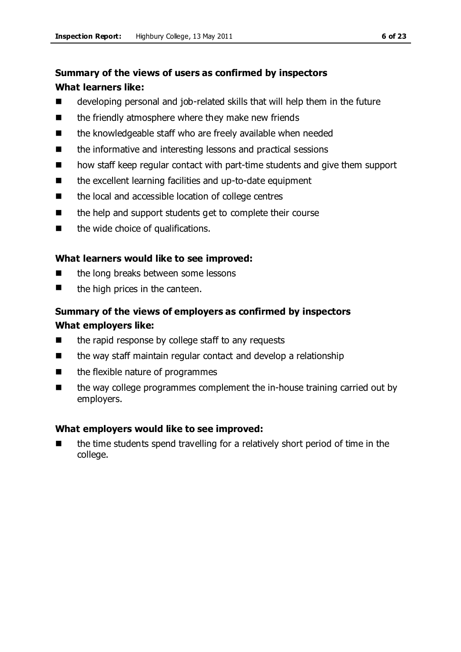# **Summary of the views of users as confirmed by inspectors What learners like:**

- developing personal and job-related skills that will help them in the future
- $\blacksquare$  the friendly atmosphere where they make new friends
- the knowledgeable staff who are freely available when needed
- the informative and interesting lessons and practical sessions
- how staff keep regular contact with part-time students and give them support
- the excellent learning facilities and up-to-date equipment
- the local and accessible location of college centres
- $\blacksquare$  the help and support students get to complete their course
- the wide choice of qualifications.

#### **What learners would like to see improved:**

- the long breaks between some lessons
- $\blacksquare$  the high prices in the canteen.

# **Summary of the views of employers as confirmed by inspectors What employers like:**

- $\blacksquare$  the rapid response by college staff to any requests
- the way staff maintain regular contact and develop a relationship
- $\blacksquare$  the flexible nature of programmes
- the way college programmes complement the in-house training carried out by employers.

#### **What employers would like to see improved:**

 the time students spend travelling for a relatively short period of time in the college.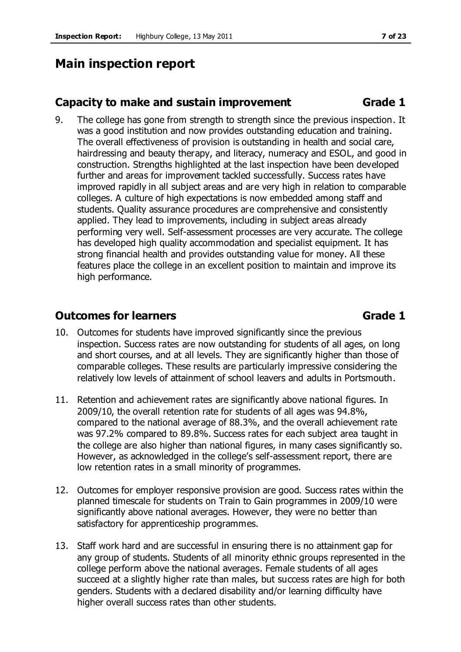# **Main inspection report**

### **Capacity to make and sustain improvement <b>Grade** 1

9. The college has gone from strength to strength since the previous inspection. It was a good institution and now provides outstanding education and training. The overall effectiveness of provision is outstanding in health and social care, hairdressing and beauty therapy, and literacy, numeracy and ESOL, and good in construction. Strengths highlighted at the last inspection have been developed further and areas for improvement tackled successfully. Success rates have improved rapidly in all subject areas and are very high in relation to comparable colleges. A culture of high expectations is now embedded among staff and students. Quality assurance procedures are comprehensive and consistently applied. They lead to improvements, including in subject areas already performing very well. Self-assessment processes are very accurate. The college has developed high quality accommodation and specialist equipment. It has strong financial health and provides outstanding value for money. All these features place the college in an excellent position to maintain and improve its high performance.

# **Outcomes for learners COVID-1 Grade 1**

- 10. Outcomes for students have improved significantly since the previous inspection. Success rates are now outstanding for students of all ages, on long and short courses, and at all levels. They are significantly higher than those of comparable colleges. These results are particularly impressive considering the relatively low levels of attainment of school leavers and adults in Portsmouth.
- 11. Retention and achievement rates are significantly above national figures. In 2009/10, the overall retention rate for students of all ages was 94.8%, compared to the national average of 88.3%, and the overall achievement rate was 97.2% compared to 89.8%. Success rates for each subject area taught in the college are also higher than national figures, in many cases significantly so. However, as acknowledged in the college's self-assessment report, there are low retention rates in a small minority of programmes.
- 12. Outcomes for employer responsive provision are good. Success rates within the planned timescale for students on Train to Gain programmes in 2009/10 were significantly above national averages. However, they were no better than satisfactory for apprenticeship programmes.
- 13. Staff work hard and are successful in ensuring there is no attainment gap for any group of students. Students of all minority ethnic groups represented in the college perform above the national averages. Female students of all ages succeed at a slightly higher rate than males, but success rates are high for both genders. Students with a declared disability and/or learning difficulty have higher overall success rates than other students.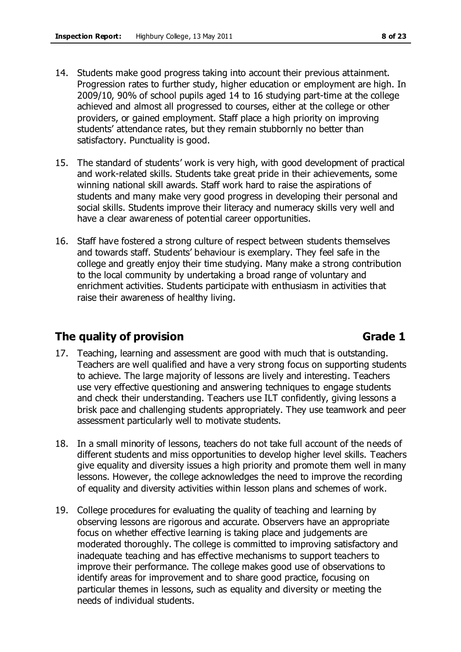- 14. Students make good progress taking into account their previous attainment. Progression rates to further study, higher education or employment are high. In 2009/10, 90% of school pupils aged 14 to 16 studying part-time at the college achieved and almost all progressed to courses, either at the college or other providers, or gained employment. Staff place a high priority on improving students' attendance rates, but they remain stubbornly no better than satisfactory. Punctuality is good.
- 15. The standard of students' work is very high, with good development of practical and work-related skills. Students take great pride in their achievements, some winning national skill awards. Staff work hard to raise the aspirations of students and many make very good progress in developing their personal and social skills. Students improve their literacy and numeracy skills very well and have a clear awareness of potential career opportunities.
- 16. Staff have fostered a strong culture of respect between students themselves and towards staff. Students' behaviour is exemplary. They feel safe in the college and greatly enjoy their time studying. Many make a strong contribution to the local community by undertaking a broad range of voluntary and enrichment activities. Students participate with enthusiasm in activities that raise their awareness of healthy living.

# **The quality of provision Grade 1**

- 17. Teaching, learning and assessment are good with much that is outstanding. Teachers are well qualified and have a very strong focus on supporting students to achieve. The large majority of lessons are lively and interesting. Teachers use very effective questioning and answering techniques to engage students and check their understanding. Teachers use ILT confidently, giving lessons a brisk pace and challenging students appropriately. They use teamwork and peer assessment particularly well to motivate students.
- 18. In a small minority of lessons, teachers do not take full account of the needs of different students and miss opportunities to develop higher level skills. Teachers give equality and diversity issues a high priority and promote them well in many lessons. However, the college acknowledges the need to improve the recording of equality and diversity activities within lesson plans and schemes of work.
- 19. College procedures for evaluating the quality of teaching and learning by observing lessons are rigorous and accurate. Observers have an appropriate focus on whether effective learning is taking place and judgements are moderated thoroughly. The college is committed to improving satisfactory and inadequate teaching and has effective mechanisms to support teachers to improve their performance. The college makes good use of observations to identify areas for improvement and to share good practice, focusing on particular themes in lessons, such as equality and diversity or meeting the needs of individual students.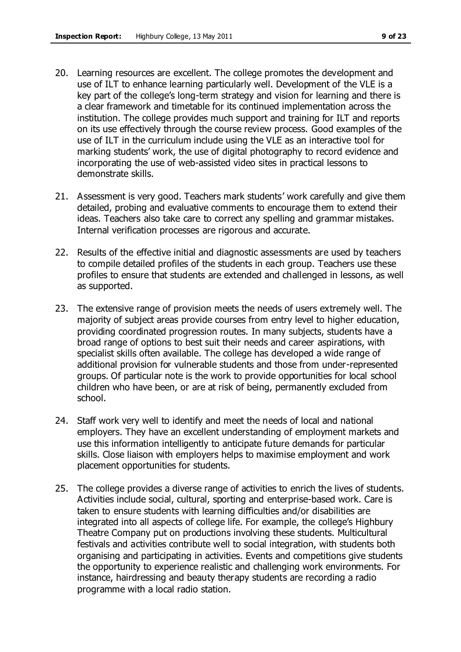- 20. Learning resources are excellent. The college promotes the development and use of ILT to enhance learning particularly well. Development of the VLE is a key part of the college's long-term strategy and vision for learning and there is a clear framework and timetable for its continued implementation across the institution. The college provides much support and training for ILT and reports on its use effectively through the course review process. Good examples of the use of ILT in the curriculum include using the VLE as an interactive tool for marking students' work, the use of digital photography to record evidence and incorporating the use of web-assisted video sites in practical lessons to demonstrate skills.
- 21. Assessment is very good. Teachers mark students' work carefully and give them detailed, probing and evaluative comments to encourage them to extend their ideas. Teachers also take care to correct any spelling and grammar mistakes. Internal verification processes are rigorous and accurate.
- 22. Results of the effective initial and diagnostic assessments are used by teachers to compile detailed profiles of the students in each group. Teachers use these profiles to ensure that students are extended and challenged in lessons, as well as supported.
- 23. The extensive range of provision meets the needs of users extremely well. The majority of subject areas provide courses from entry level to higher education, providing coordinated progression routes. In many subjects, students have a broad range of options to best suit their needs and career aspirations, with specialist skills often available. The college has developed a wide range of additional provision for vulnerable students and those from under-represented groups. Of particular note is the work to provide opportunities for local school children who have been, or are at risk of being, permanently excluded from school.
- 24. Staff work very well to identify and meet the needs of local and national employers. They have an excellent understanding of employment markets and use this information intelligently to anticipate future demands for particular skills. Close liaison with employers helps to maximise employment and work placement opportunities for students.
- 25. The college provides a diverse range of activities to enrich the lives of students. Activities include social, cultural, sporting and enterprise-based work. Care is taken to ensure students with learning difficulties and/or disabilities are integrated into all aspects of college life. For example, the college's Highbury Theatre Company put on productions involving these students. Multicultural festivals and activities contribute well to social integration, with students both organising and participating in activities. Events and competitions give students the opportunity to experience realistic and challenging work environments. For instance, hairdressing and beauty therapy students are recording a radio programme with a local radio station.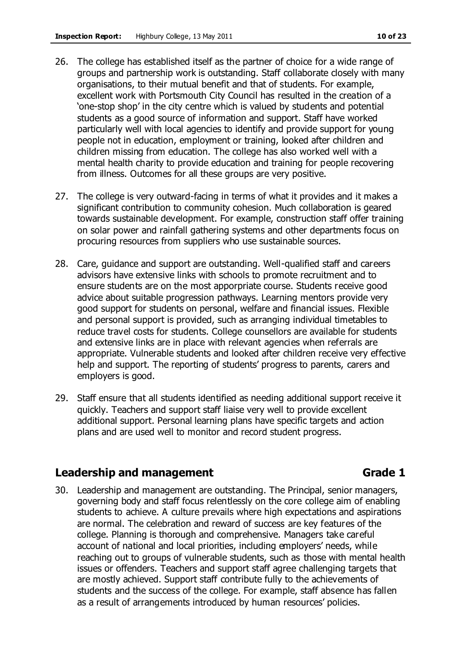- 26. The college has established itself as the partner of choice for a wide range of groups and partnership work is outstanding. Staff collaborate closely with many organisations, to their mutual benefit and that of students. For example, excellent work with Portsmouth City Council has resulted in the creation of a 'one-stop shop' in the city centre which is valued by students and potential students as a good source of information and support. Staff have worked particularly well with local agencies to identify and provide support for young people not in education, employment or training, looked after children and children missing from education. The college has also worked well with a mental health charity to provide education and training for people recovering from illness. Outcomes for all these groups are very positive.
- 27. The college is very outward-facing in terms of what it provides and it makes a significant contribution to community cohesion. Much collaboration is geared towards sustainable development. For example, construction staff offer training on solar power and rainfall gathering systems and other departments focus on procuring resources from suppliers who use sustainable sources.
- 28. Care, guidance and support are outstanding. Well-qualified staff and careers advisors have extensive links with schools to promote recruitment and to ensure students are on the most apporpriate course. Students receive good advice about suitable progression pathways. Learning mentors provide very good support for students on personal, welfare and financial issues. Flexible and personal support is provided, such as arranging individual timetables to reduce travel costs for students. College counsellors are available for students and extensive links are in place with relevant agencies when referrals are appropriate. Vulnerable students and looked after children receive very effective help and support. The reporting of students' progress to parents, carers and employers is good.
- 29. Staff ensure that all students identified as needing additional support receive it quickly. Teachers and support staff liaise very well to provide excellent additional support. Personal learning plans have specific targets and action plans and are used well to monitor and record student progress.

### **Leadership and management Grade 1**

- 
- 30. Leadership and management are outstanding. The Principal, senior managers, governing body and staff focus relentlessly on the core college aim of enabling students to achieve. A culture prevails where high expectations and aspirations are normal. The celebration and reward of success are key features of the college. Planning is thorough and comprehensive. Managers take careful account of national and local priorities, including employers' needs, while reaching out to groups of vulnerable students, such as those with mental health issues or offenders. Teachers and support staff agree challenging targets that are mostly achieved. Support staff contribute fully to the achievements of students and the success of the college. For example, staff absence has fallen as a result of arrangements introduced by human resources' policies.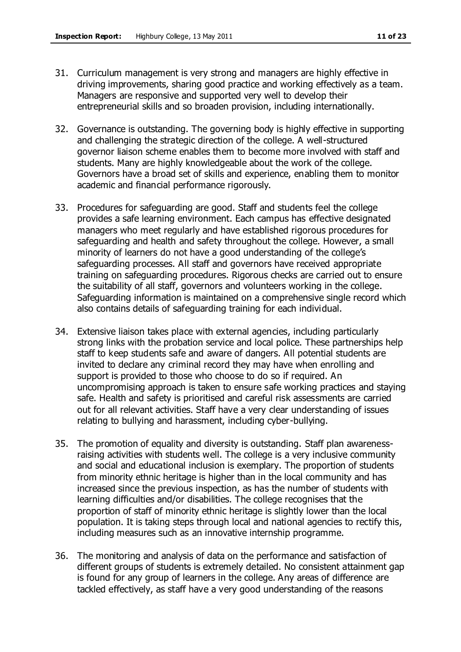- 31. Curriculum management is very strong and managers are highly effective in driving improvements, sharing good practice and working effectively as a team. Managers are responsive and supported very well to develop their entrepreneurial skills and so broaden provision, including internationally.
- 32. Governance is outstanding. The governing body is highly effective in supporting and challenging the strategic direction of the college. A well-structured governor liaison scheme enables them to become more involved with staff and students. Many are highly knowledgeable about the work of the college. Governors have a broad set of skills and experience, enabling them to monitor academic and financial performance rigorously.
- 33. Procedures for safeguarding are good. Staff and students feel the college provides a safe learning environment. Each campus has effective designated managers who meet regularly and have established rigorous procedures for safeguarding and health and safety throughout the college. However, a small minority of learners do not have a good understanding of the college's safeguarding processes. All staff and governors have received appropriate training on safeguarding procedures. Rigorous checks are carried out to ensure the suitability of all staff, governors and volunteers working in the college. Safeguarding information is maintained on a comprehensive single record which also contains details of safeguarding training for each individual.
- 34. Extensive liaison takes place with external agencies, including particularly strong links with the probation service and local police. These partnerships help staff to keep students safe and aware of dangers. All potential students are invited to declare any criminal record they may have when enrolling and support is provided to those who choose to do so if required. An uncompromising approach is taken to ensure safe working practices and staying safe. Health and safety is prioritised and careful risk assessments are carried out for all relevant activities. Staff have a very clear understanding of issues relating to bullying and harassment, including cyber-bullying.
- 35. The promotion of equality and diversity is outstanding. Staff plan awarenessraising activities with students well. The college is a very inclusive community and social and educational inclusion is exemplary. The proportion of students from minority ethnic heritage is higher than in the local community and has increased since the previous inspection, as has the number of students with learning difficulties and/or disabilities. The college recognises that the proportion of staff of minority ethnic heritage is slightly lower than the local population. It is taking steps through local and national agencies to rectify this, including measures such as an innovative internship programme.
- 36. The monitoring and analysis of data on the performance and satisfaction of different groups of students is extremely detailed. No consistent attainment gap is found for any group of learners in the college. Any areas of difference are tackled effectively, as staff have a very good understanding of the reasons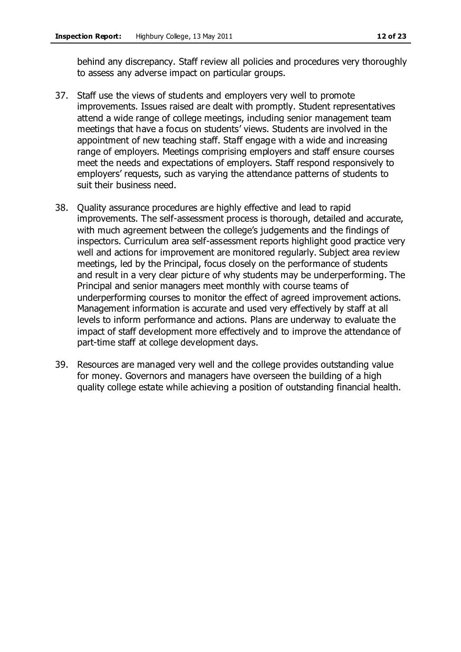behind any discrepancy. Staff review all policies and procedures very thoroughly to assess any adverse impact on particular groups.

- 37. Staff use the views of students and employers very well to promote improvements. Issues raised are dealt with promptly. Student representatives attend a wide range of college meetings, including senior management team meetings that have a focus on students' views. Students are involved in the appointment of new teaching staff. Staff engage with a wide and increasing range of employers. Meetings comprising employers and staff ensure courses meet the needs and expectations of employers. Staff respond responsively to employers' requests, such as varying the attendance patterns of students to suit their business need.
- 38. Quality assurance procedures are highly effective and lead to rapid improvements. The self-assessment process is thorough, detailed and accurate, with much agreement between the college's judgements and the findings of inspectors. Curriculum area self-assessment reports highlight good practice very well and actions for improvement are monitored regularly. Subject area review meetings, led by the Principal, focus closely on the performance of students and result in a very clear picture of why students may be underperforming. The Principal and senior managers meet monthly with course teams of underperforming courses to monitor the effect of agreed improvement actions. Management information is accurate and used very effectively by staff at all levels to inform performance and actions. Plans are underway to evaluate the impact of staff development more effectively and to improve the attendance of part-time staff at college development days.
- 39. Resources are managed very well and the college provides outstanding value for money. Governors and managers have overseen the building of a high quality college estate while achieving a position of outstanding financial health.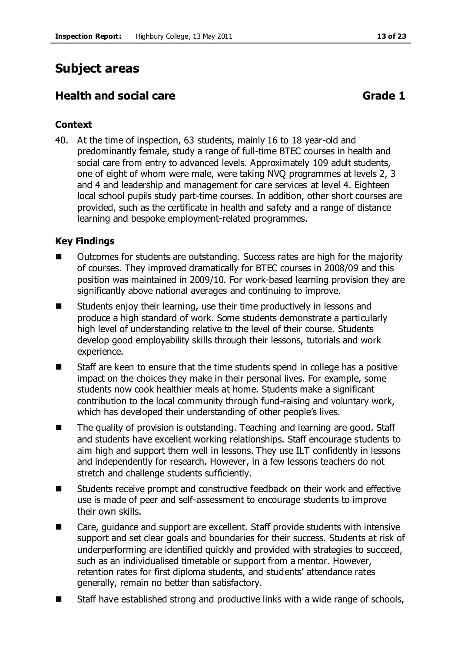# **Subject areas**

# **Health and social care Grade 1**

### **Context**

40. At the time of inspection, 63 students, mainly 16 to 18 year-old and predominantly female, study a range of full-time BTEC courses in health and social care from entry to advanced levels. Approximately 109 adult students, one of eight of whom were male, were taking NVQ programmes at levels 2, 3 and 4 and leadership and management for care services at level 4. Eighteen local school pupils study part-time courses. In addition, other short courses are provided, such as the certificate in health and safety and a range of distance learning and bespoke employment-related programmes.

### **Key Findings**

- Outcomes for students are outstanding. Success rates are high for the majority of courses. They improved dramatically for BTEC courses in 2008/09 and this position was maintained in 2009/10. For work-based learning provision they are significantly above national averages and continuing to improve.
- Students enjoy their learning, use their time productively in lessons and produce a high standard of work. Some students demonstrate a particularly high level of understanding relative to the level of their course. Students develop good employability skills through their lessons, tutorials and work experience.
- Staff are keen to ensure that the time students spend in college has a positive impact on the choices they make in their personal lives. For example, some students now cook healthier meals at home. Students make a significant contribution to the local community through fund-raising and voluntary work, which has developed their understanding of other people's lives.
- The quality of provision is outstanding. Teaching and learning are good. Staff and students have excellent working relationships. Staff encourage students to aim high and support them well in lessons. They use ILT confidently in lessons and independently for research. However, in a few lessons teachers do not stretch and challenge students sufficiently.
- Students receive prompt and constructive feedback on their work and effective use is made of peer and self-assessment to encourage students to improve their own skills.
- Care, guidance and support are excellent. Staff provide students with intensive support and set clear goals and boundaries for their success. Students at risk of underperforming are identified quickly and provided with strategies to succeed, such as an individualised timetable or support from a mentor. However, retention rates for first diploma students, and students' attendance rates generally, remain no better than satisfactory.
- Staff have established strong and productive links with a wide range of schools,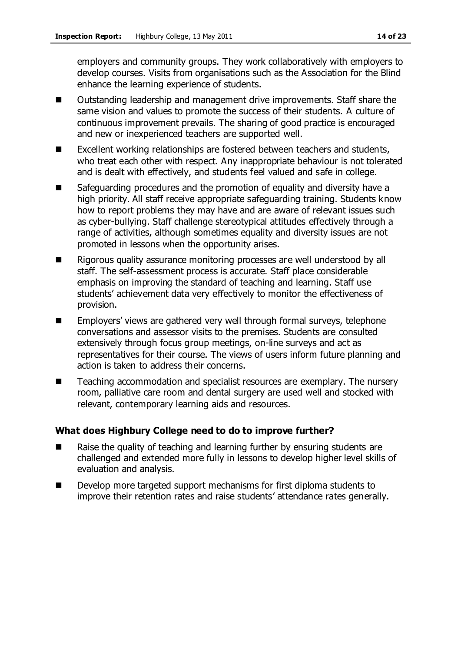employers and community groups. They work collaboratively with employers to develop courses. Visits from organisations such as the Association for the Blind enhance the learning experience of students.

- Outstanding leadership and management drive improvements. Staff share the same vision and values to promote the success of their students. A culture of continuous improvement prevails. The sharing of good practice is encouraged and new or inexperienced teachers are supported well.
- Excellent working relationships are fostered between teachers and students, who treat each other with respect. Any inappropriate behaviour is not tolerated and is dealt with effectively, and students feel valued and safe in college.
- Safeguarding procedures and the promotion of equality and diversity have a high priority. All staff receive appropriate safeguarding training. Students know how to report problems they may have and are aware of relevant issues such as cyber-bullying. Staff challenge stereotypical attitudes effectively through a range of activities, although sometimes equality and diversity issues are not promoted in lessons when the opportunity arises.
- Rigorous quality assurance monitoring processes are well understood by all staff. The self-assessment process is accurate. Staff place considerable emphasis on improving the standard of teaching and learning. Staff use students' achievement data very effectively to monitor the effectiveness of provision.
- Employers' views are gathered very well through formal surveys, telephone conversations and assessor visits to the premises. Students are consulted extensively through focus group meetings, on-line surveys and act as representatives for their course. The views of users inform future planning and action is taken to address their concerns.
- Teaching accommodation and specialist resources are exemplary. The nursery room, palliative care room and dental surgery are used well and stocked with relevant, contemporary learning aids and resources.

### **What does Highbury College need to do to improve further?**

- Raise the quality of teaching and learning further by ensuring students are challenged and extended more fully in lessons to develop higher level skills of evaluation and analysis.
- Develop more targeted support mechanisms for first diploma students to improve their retention rates and raise students' attendance rates generally.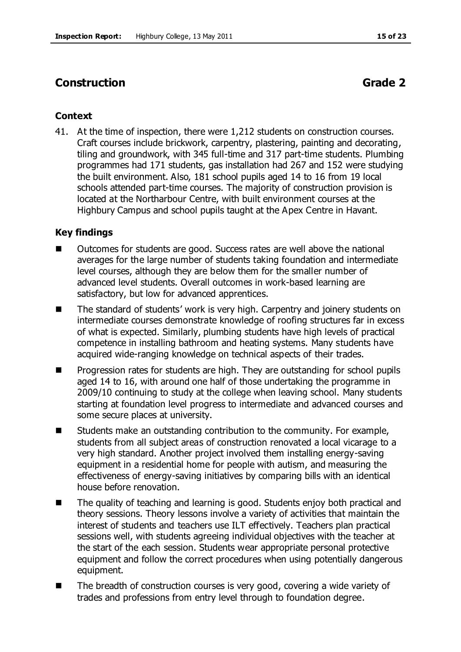# **Construction Grade 2**

#### **Context**

41. At the time of inspection, there were 1,212 students on construction courses. Craft courses include brickwork, carpentry, plastering, painting and decorating, tiling and groundwork, with 345 full-time and 317 part-time students. Plumbing programmes had 171 students, gas installation had 267 and 152 were studying the built environment. Also, 181 school pupils aged 14 to 16 from 19 local schools attended part-time courses. The majority of construction provision is located at the Northarbour Centre, with built environment courses at the Highbury Campus and school pupils taught at the Apex Centre in Havant.

#### **Key findings**

- Outcomes for students are good. Success rates are well above the national averages for the large number of students taking foundation and intermediate level courses, although they are below them for the smaller number of advanced level students. Overall outcomes in work-based learning are satisfactory, but low for advanced apprentices.
- The standard of students' work is very high. Carpentry and joinery students on intermediate courses demonstrate knowledge of roofing structures far in excess of what is expected. Similarly, plumbing students have high levels of practical competence in installing bathroom and heating systems. Many students have acquired wide-ranging knowledge on technical aspects of their trades.
- **Progression rates for students are high. They are outstanding for school pupils** aged 14 to 16, with around one half of those undertaking the programme in 2009/10 continuing to study at the college when leaving school. Many students starting at foundation level progress to intermediate and advanced courses and some secure places at university.
- Students make an outstanding contribution to the community. For example, students from all subject areas of construction renovated a local vicarage to a very high standard. Another project involved them installing energy-saving equipment in a residential home for people with autism, and measuring the effectiveness of energy-saving initiatives by comparing bills with an identical house before renovation.
- The quality of teaching and learning is good. Students enjoy both practical and theory sessions. Theory lessons involve a variety of activities that maintain the interest of students and teachers use ILT effectively. Teachers plan practical sessions well, with students agreeing individual objectives with the teacher at the start of the each session. Students wear appropriate personal protective equipment and follow the correct procedures when using potentially dangerous equipment.
- The breadth of construction courses is very good, covering a wide variety of trades and professions from entry level through to foundation degree.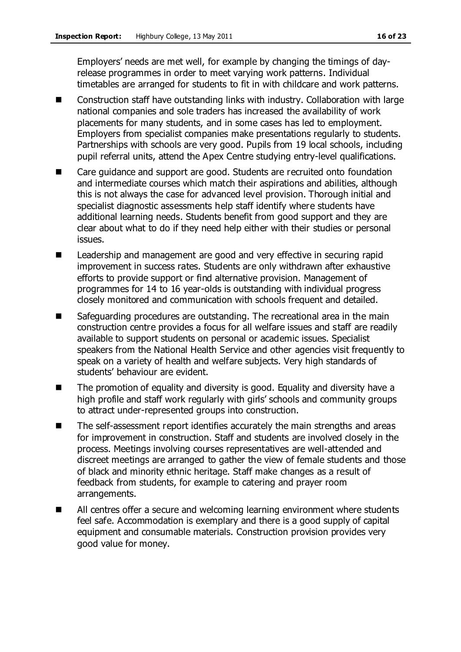Employers' needs are met well, for example by changing the timings of dayrelease programmes in order to meet varying work patterns. Individual timetables are arranged for students to fit in with childcare and work patterns.

- Construction staff have outstanding links with industry. Collaboration with large national companies and sole traders has increased the availability of work placements for many students, and in some cases has led to employment. Employers from specialist companies make presentations regularly to students. Partnerships with schools are very good. Pupils from 19 local schools, including pupil referral units, attend the Apex Centre studying entry-level qualifications.
- Care guidance and support are good. Students are recruited onto foundation and intermediate courses which match their aspirations and abilities, although this is not always the case for advanced level provision. Thorough initial and specialist diagnostic assessments help staff identify where students have additional learning needs. Students benefit from good support and they are clear about what to do if they need help either with their studies or personal issues.
- Leadership and management are good and very effective in securing rapid improvement in success rates. Students are only withdrawn after exhaustive efforts to provide support or find alternative provision. Management of programmes for 14 to 16 year-olds is outstanding with individual progress closely monitored and communication with schools frequent and detailed.
- Safeguarding procedures are outstanding. The recreational area in the main construction centre provides a focus for all welfare issues and staff are readily available to support students on personal or academic issues. Specialist speakers from the National Health Service and other agencies visit frequently to speak on a variety of health and welfare subjects. Very high standards of students' behaviour are evident.
- The promotion of equality and diversity is good. Equality and diversity have a high profile and staff work regularly with girls' schools and community groups to attract under-represented groups into construction.
- The self-assessment report identifies accurately the main strengths and areas for improvement in construction. Staff and students are involved closely in the process. Meetings involving courses representatives are well-attended and discreet meetings are arranged to gather the view of female students and those of black and minority ethnic heritage. Staff make changes as a result of feedback from students, for example to catering and prayer room arrangements.
- All centres offer a secure and welcoming learning environment where students feel safe. Accommodation is exemplary and there is a good supply of capital equipment and consumable materials. Construction provision provides very good value for money.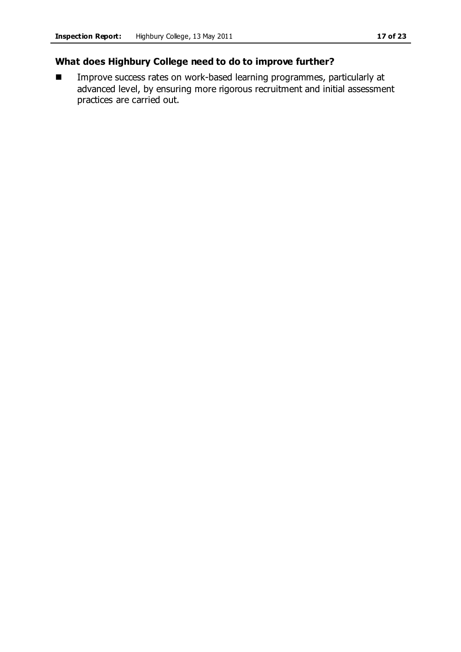### **What does Highbury College need to do to improve further?**

**IMPROVE SUCCESS rates on work-based learning programmes, particularly at** advanced level, by ensuring more rigorous recruitment and initial assessment practices are carried out.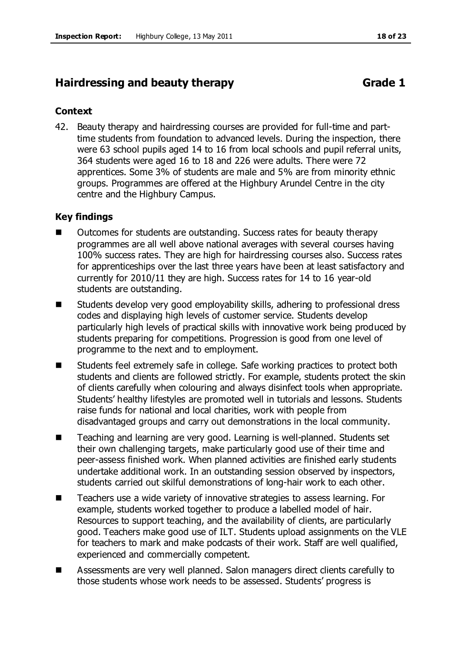# **Hairdressing and beauty therapy <b>Grade 1** Grade 1

#### **Context**

42. Beauty therapy and hairdressing courses are provided for full-time and parttime students from foundation to advanced levels. During the inspection, there were 63 school pupils aged 14 to 16 from local schools and pupil referral units, 364 students were aged 16 to 18 and 226 were adults. There were 72 apprentices. Some 3% of students are male and 5% are from minority ethnic groups. Programmes are offered at the Highbury Arundel Centre in the city centre and the Highbury Campus.

#### **Key findings**

- Outcomes for students are outstanding. Success rates for beauty therapy programmes are all well above national averages with several courses having 100% success rates. They are high for hairdressing courses also. Success rates for apprenticeships over the last three years have been at least satisfactory and currently for 2010/11 they are high. Success rates for 14 to 16 year-old students are outstanding.
- Students develop very good employability skills, adhering to professional dress codes and displaying high levels of customer service. Students develop particularly high levels of practical skills with innovative work being produced by students preparing for competitions. Progression is good from one level of programme to the next and to employment.
- Students feel extremely safe in college. Safe working practices to protect both students and clients are followed strictly. For example, students protect the skin of clients carefully when colouring and always disinfect tools when appropriate. Students' healthy lifestyles are promoted well in tutorials and lessons. Students raise funds for national and local charities, work with people from disadvantaged groups and carry out demonstrations in the local community.
- Teaching and learning are very good. Learning is well-planned. Students set their own challenging targets, make particularly good use of their time and peer-assess finished work. When planned activities are finished early students undertake additional work. In an outstanding session observed by inspectors, students carried out skilful demonstrations of long-hair work to each other.
- Teachers use a wide variety of innovative strategies to assess learning. For example, students worked together to produce a labelled model of hair. Resources to support teaching, and the availability of clients, are particularly good. Teachers make good use of ILT. Students upload assignments on the VLE for teachers to mark and make podcasts of their work. Staff are well qualified, experienced and commercially competent.
- Assessments are very well planned. Salon managers direct clients carefully to those students whose work needs to be assessed. Students' progress is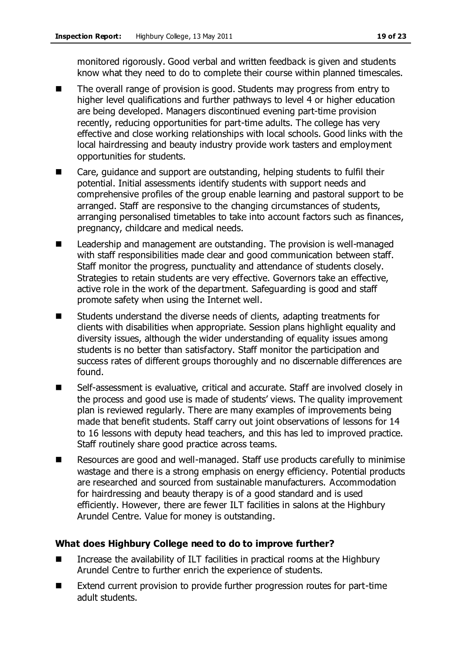monitored rigorously. Good verbal and written feedback is given and students know what they need to do to complete their course within planned timescales.

- The overall range of provision is good. Students may progress from entry to higher level qualifications and further pathways to level 4 or higher education are being developed. Managers discontinued evening part-time provision recently, reducing opportunities for part-time adults. The college has very effective and close working relationships with local schools. Good links with the local hairdressing and beauty industry provide work tasters and employment opportunities for students.
- Care, guidance and support are outstanding, helping students to fulfil their potential. Initial assessments identify students with support needs and comprehensive profiles of the group enable learning and pastoral support to be arranged. Staff are responsive to the changing circumstances of students, arranging personalised timetables to take into account factors such as finances, pregnancy, childcare and medical needs.
- Leadership and management are outstanding. The provision is well-managed with staff responsibilities made clear and good communication between staff. Staff monitor the progress, punctuality and attendance of students closely. Strategies to retain students are very effective. Governors take an effective, active role in the work of the department. Safeguarding is good and staff promote safety when using the Internet well.
- Students understand the diverse needs of clients, adapting treatments for clients with disabilities when appropriate. Session plans highlight equality and diversity issues, although the wider understanding of equality issues among students is no better than satisfactory. Staff monitor the participation and success rates of different groups thoroughly and no discernable differences are found.
- Self-assessment is evaluative, critical and accurate. Staff are involved closely in the process and good use is made of students' views. The quality improvement plan is reviewed regularly. There are many examples of improvements being made that benefit students. Staff carry out joint observations of lessons for 14 to 16 lessons with deputy head teachers, and this has led to improved practice. Staff routinely share good practice across teams.
- Resources are good and well-managed. Staff use products carefully to minimise wastage and there is a strong emphasis on energy efficiency. Potential products are researched and sourced from sustainable manufacturers. Accommodation for hairdressing and beauty therapy is of a good standard and is used efficiently. However, there are fewer ILT facilities in salons at the Highbury Arundel Centre. Value for money is outstanding.

### **What does Highbury College need to do to improve further?**

- Increase the availability of ILT facilities in practical rooms at the Highbury Arundel Centre to further enrich the experience of students.
- Extend current provision to provide further progression routes for part-time adult students.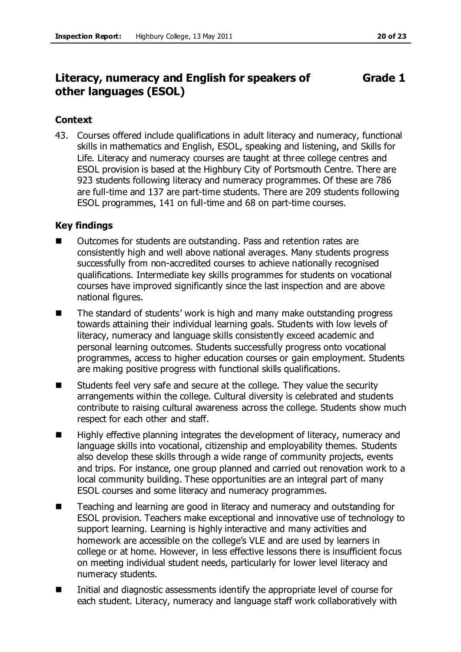#### **Literacy, numeracy and English for speakers of other languages (ESOL) Grade 1**

#### **Context**

43. Courses offered include qualifications in adult literacy and numeracy, functional skills in mathematics and English, ESOL, speaking and listening, and Skills for Life. Literacy and numeracy courses are taught at three college centres and ESOL provision is based at the Highbury City of Portsmouth Centre. There are 923 students following literacy and numeracy programmes. Of these are 786 are full-time and 137 are part-time students. There are 209 students following ESOL programmes, 141 on full-time and 68 on part-time courses.

#### **Key findings**

- Outcomes for students are outstanding. Pass and retention rates are consistently high and well above national averages. Many students progress successfully from non-accredited courses to achieve nationally recognised qualifications. Intermediate key skills programmes for students on vocational courses have improved significantly since the last inspection and are above national figures.
- The standard of students' work is high and many make outstanding progress towards attaining their individual learning goals. Students with low levels of literacy, numeracy and language skills consistently exceed academic and personal learning outcomes. Students successfully progress onto vocational programmes, access to higher education courses or gain employment. Students are making positive progress with functional skills qualifications.
- Students feel very safe and secure at the college. They value the security arrangements within the college. Cultural diversity is celebrated and students contribute to raising cultural awareness across the college. Students show much respect for each other and staff.
- $\blacksquare$  Highly effective planning integrates the development of literacy, numeracy and language skills into vocational, citizenship and employability themes. Students also develop these skills through a wide range of community projects, events and trips. For instance, one group planned and carried out renovation work to a local community building. These opportunities are an integral part of many ESOL courses and some literacy and numeracy programmes.
- Teaching and learning are good in literacy and numeracy and outstanding for ESOL provision. Teachers make exceptional and innovative use of technology to support learning. Learning is highly interactive and many activities and homework are accessible on the college's VLE and are used by learners in college or at home. However, in less effective lessons there is insufficient focus on meeting individual student needs, particularly for lower level literacy and numeracy students.
- $\blacksquare$  Initial and diagnostic assessments identify the appropriate level of course for each student. Literacy, numeracy and language staff work collaboratively with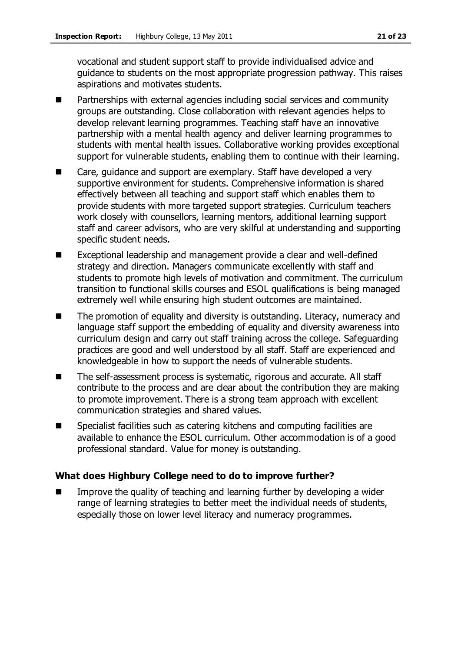vocational and student support staff to provide individualised advice and guidance to students on the most appropriate progression pathway. This raises aspirations and motivates students.

- Partnerships with external agencies including social services and community groups are outstanding. Close collaboration with relevant agencies helps to develop relevant learning programmes. Teaching staff have an innovative partnership with a mental health agency and deliver learning programmes to students with mental health issues. Collaborative working provides exceptional support for vulnerable students, enabling them to continue with their learning.
- Care, guidance and support are exemplary. Staff have developed a very supportive environment for students. Comprehensive information is shared effectively between all teaching and support staff which enables them to provide students with more targeted support strategies. Curriculum teachers work closely with counsellors, learning mentors, additional learning support staff and career advisors, who are very skilful at understanding and supporting specific student needs.
- Exceptional leadership and management provide a clear and well-defined strategy and direction. Managers communicate excellently with staff and students to promote high levels of motivation and commitment. The curriculum transition to functional skills courses and ESOL qualifications is being managed extremely well while ensuring high student outcomes are maintained.
- The promotion of equality and diversity is outstanding. Literacy, numeracy and language staff support the embedding of equality and diversity awareness into curriculum design and carry out staff training across the college. Safeguarding practices are good and well understood by all staff. Staff are experienced and knowledgeable in how to support the needs of vulnerable students.
- The self-assessment process is systematic, rigorous and accurate. All staff contribute to the process and are clear about the contribution they are making to promote improvement. There is a strong team approach with excellent communication strategies and shared values.
- Specialist facilities such as catering kitchens and computing facilities are available to enhance the ESOL curriculum. Other accommodation is of a good professional standard. Value for money is outstanding.

### **What does Highbury College need to do to improve further?**

 Improve the quality of teaching and learning further by developing a wider range of learning strategies to better meet the individual needs of students, especially those on lower level literacy and numeracy programmes.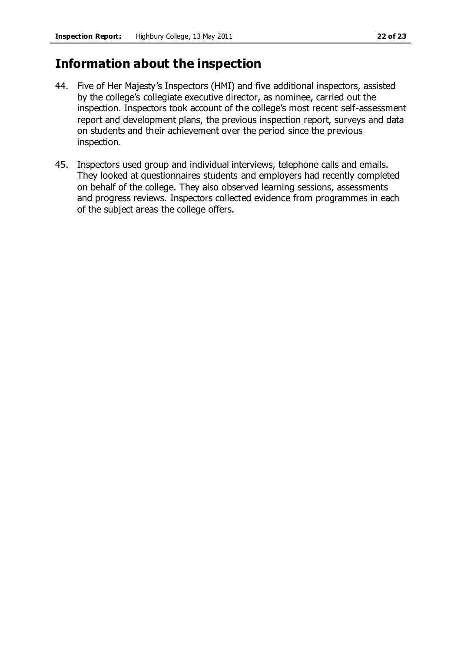# **Information about the inspection**

- 44. Five of Her Majesty's Inspectors (HMI) and five additional inspectors, assisted by the college's collegiate executive director, as nominee, carried out the inspection. Inspectors took account of the college's most recent self-assessment report and development plans, the previous inspection report, surveys and data on students and their achievement over the period since the previous inspection.
- 45. Inspectors used group and individual interviews, telephone calls and emails. They looked at questionnaires students and employers had recently completed on behalf of the college. They also observed learning sessions, assessments and progress reviews. Inspectors collected evidence from programmes in each of the subject areas the college offers.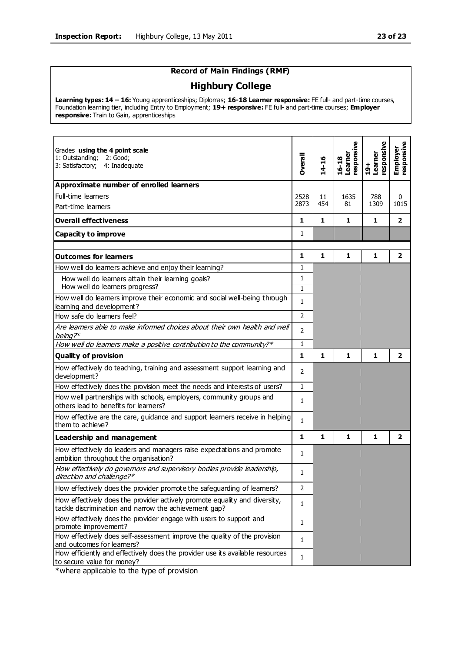#### **Record of Main Findings (RMF)**

#### **Highbury College**

**Learning types: 14 – 16:** Young apprenticeships; Diplomas; **16-18 Learner responsive:** FE full- and part-time courses, Foundation learning tier, including Entry to Employment; **19+ responsive:** FE full- and part-time courses; **Employer responsive:** Train to Gain, apprenticeships

| Grades using the 4 point scale<br>1: Outstanding; 2: Good;<br>3: Satisfactory; 4: Inadequate                                        | Overall                      | 14-16        | esponsive<br>Learner<br>$16 - 18$ | responsive<br>Learner<br>$\frac{+}{2}$ | responsive<br>Employer |
|-------------------------------------------------------------------------------------------------------------------------------------|------------------------------|--------------|-----------------------------------|----------------------------------------|------------------------|
| Approximate number of enrolled learners                                                                                             |                              |              |                                   |                                        |                        |
| Full-time learners                                                                                                                  | 2528                         | 11           | 1635                              | 788                                    | 0                      |
| Part-time learners                                                                                                                  | 2873                         | 454          | 81                                | 1309                                   | 1015                   |
| <b>Overall effectiveness</b>                                                                                                        | 1                            | $\mathbf{1}$ | 1                                 | 1                                      | $\overline{2}$         |
| <b>Capacity to improve</b>                                                                                                          | 1                            |              |                                   |                                        |                        |
| <b>Outcomes for learners</b>                                                                                                        | 1                            | $\mathbf{1}$ | 1                                 | 1                                      | $\overline{2}$         |
| How well do learners achieve and enjoy their learning?                                                                              | $\mathbf{1}$                 |              |                                   |                                        |                        |
| How well do learners attain their learning goals?<br>How well do learners progress?                                                 | $\mathbf{1}$<br>$\mathbf{1}$ |              |                                   |                                        |                        |
| How well do learners improve their economic and social well-being through<br>learning and development?                              | $\mathbf{1}$                 |              |                                   |                                        |                        |
| How safe do learners feel?                                                                                                          | $\overline{2}$               |              |                                   |                                        |                        |
| Are learners able to make informed choices about their own health and well<br>being? $*$                                            | $\overline{2}$               |              |                                   |                                        |                        |
| How well do learners make a positive contribution to the community?*                                                                | $\mathbf{1}$                 |              |                                   |                                        |                        |
| <b>Quality of provision</b>                                                                                                         | $\mathbf{1}$                 | 1            | 1                                 | $\mathbf{1}$                           | $\overline{2}$         |
| How effectively do teaching, training and assessment support learning and<br>development?                                           | 2                            |              |                                   |                                        |                        |
| How effectively does the provision meet the needs and interests of users?                                                           | $\mathbf{1}$                 |              |                                   |                                        |                        |
| How well partnerships with schools, employers, community groups and<br>others lead to benefits for learners?                        | $\mathbf{1}$                 |              |                                   |                                        |                        |
| How effective are the care, guidance and support learners receive in helping<br>them to achieve?                                    | $\mathbf{1}$                 |              |                                   |                                        |                        |
| Leadership and management                                                                                                           | $\mathbf{1}$                 | $\mathbf{1}$ | 1                                 | 1                                      | $\overline{2}$         |
| How effectively do leaders and managers raise expectations and promote<br>ambition throughout the organisation?                     | 1                            |              |                                   |                                        |                        |
| How effectively do governors and supervisory bodies provide leadership,<br>direction and challenge?*                                | 1                            |              |                                   |                                        |                        |
| How effectively does the provider promote the safeguarding of learners?                                                             | 2                            |              |                                   |                                        |                        |
| How effectively does the provider actively promote equality and diversity,<br>tackle discrimination and narrow the achievement gap? | 1                            |              |                                   |                                        |                        |
| How effectively does the provider engage with users to support and<br>promote improvement?                                          | 1                            |              |                                   |                                        |                        |
| How effectively does self-assessment improve the quality of the provision<br>and outcomes for learners?                             | $\mathbf{1}$                 |              |                                   |                                        |                        |
| How efficiently and effectively does the provider use its available resources<br>to secure value for money?                         | $\mathbf{1}$                 |              |                                   |                                        |                        |

\*where applicable to the type of provision